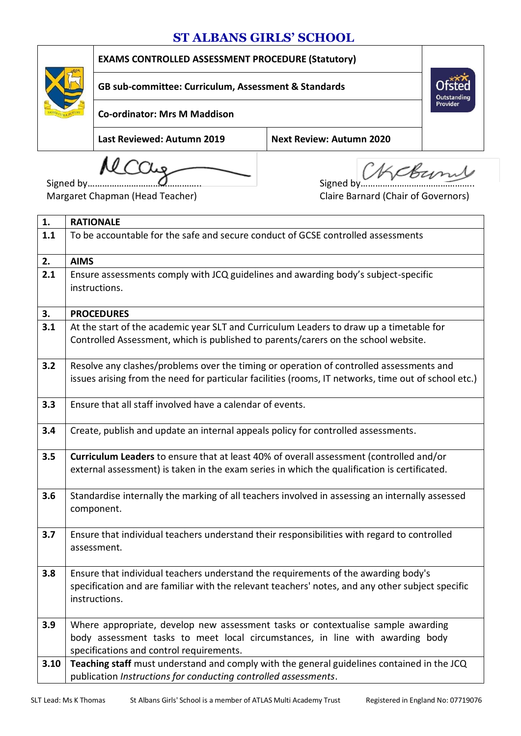## **ST ALBANS GIRLS' SCHOOL**



**EXAMS CONTROLLED ASSESSMENT PROCEDURE (Statutory)**

**GB sub-committee: Curriculum, Assessment & Standards**

**Co-ordinator: Mrs M Maddison**

**Last Reviewed: Autumn 2019 Next Review: Autumn 2020**

MCCUg Signed by Signed by KCBurn ملا

**Outstanding**<br>Provider

Margaret Chapman (Head Teacher) Claire Barnard (Chair of Governors)

| 1.   | <b>RATIONALE</b>                                                                                                                                                                                        |
|------|---------------------------------------------------------------------------------------------------------------------------------------------------------------------------------------------------------|
| 1.1  | To be accountable for the safe and secure conduct of GCSE controlled assessments                                                                                                                        |
| 2.   | <b>AIMS</b>                                                                                                                                                                                             |
| 2.1  | Ensure assessments comply with JCQ guidelines and awarding body's subject-specific<br>instructions.                                                                                                     |
| 3.   | <b>PROCEDURES</b>                                                                                                                                                                                       |
| 3.1  | At the start of the academic year SLT and Curriculum Leaders to draw up a timetable for                                                                                                                 |
|      | Controlled Assessment, which is published to parents/carers on the school website.                                                                                                                      |
| 3.2  | Resolve any clashes/problems over the timing or operation of controlled assessments and                                                                                                                 |
|      | issues arising from the need for particular facilities (rooms, IT networks, time out of school etc.)                                                                                                    |
| 3.3  | Ensure that all staff involved have a calendar of events.                                                                                                                                               |
| 3.4  | Create, publish and update an internal appeals policy for controlled assessments.                                                                                                                       |
| 3.5  | Curriculum Leaders to ensure that at least 40% of overall assessment (controlled and/or<br>external assessment) is taken in the exam series in which the qualification is certificated.                 |
| 3.6  | Standardise internally the marking of all teachers involved in assessing an internally assessed<br>component.                                                                                           |
| 3.7  | Ensure that individual teachers understand their responsibilities with regard to controlled<br>assessment.                                                                                              |
| 3.8  | Ensure that individual teachers understand the requirements of the awarding body's<br>specification and are familiar with the relevant teachers' notes, and any other subject specific<br>instructions. |
| 3.9  | Where appropriate, develop new assessment tasks or contextualise sample awarding                                                                                                                        |
|      | body assessment tasks to meet local circumstances, in line with awarding body                                                                                                                           |
|      | specifications and control requirements.                                                                                                                                                                |
| 3.10 | Teaching staff must understand and comply with the general guidelines contained in the JCQ                                                                                                              |
|      | publication Instructions for conducting controlled assessments.                                                                                                                                         |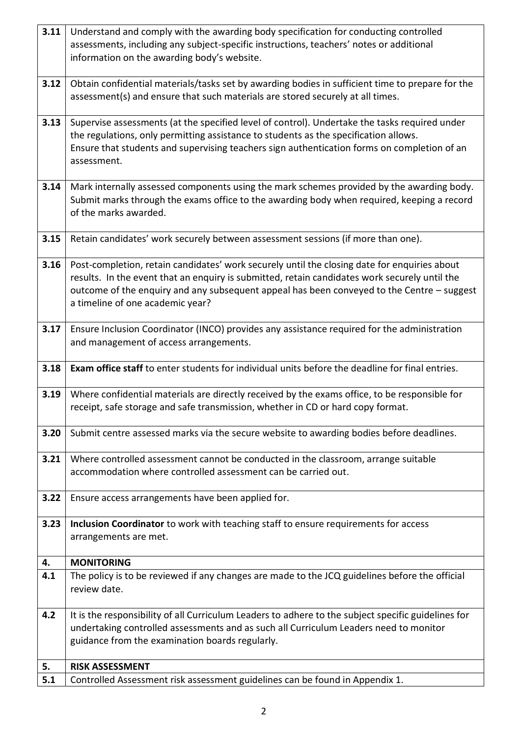| 3.11 | Understand and comply with the awarding body specification for conducting controlled                                                                                                                                                                                                                                            |  |  |
|------|---------------------------------------------------------------------------------------------------------------------------------------------------------------------------------------------------------------------------------------------------------------------------------------------------------------------------------|--|--|
|      | assessments, including any subject-specific instructions, teachers' notes or additional<br>information on the awarding body's website.                                                                                                                                                                                          |  |  |
|      |                                                                                                                                                                                                                                                                                                                                 |  |  |
| 3.12 | Obtain confidential materials/tasks set by awarding bodies in sufficient time to prepare for the<br>assessment(s) and ensure that such materials are stored securely at all times.                                                                                                                                              |  |  |
| 3.13 | Supervise assessments (at the specified level of control). Undertake the tasks required under<br>the regulations, only permitting assistance to students as the specification allows.<br>Ensure that students and supervising teachers sign authentication forms on completion of an<br>assessment.                             |  |  |
|      |                                                                                                                                                                                                                                                                                                                                 |  |  |
| 3.14 | Mark internally assessed components using the mark schemes provided by the awarding body.<br>Submit marks through the exams office to the awarding body when required, keeping a record<br>of the marks awarded.                                                                                                                |  |  |
| 3.15 | Retain candidates' work securely between assessment sessions (if more than one).                                                                                                                                                                                                                                                |  |  |
| 3.16 | Post-completion, retain candidates' work securely until the closing date for enquiries about<br>results. In the event that an enquiry is submitted, retain candidates work securely until the<br>outcome of the enquiry and any subsequent appeal has been conveyed to the Centre - suggest<br>a timeline of one academic year? |  |  |
| 3.17 | Ensure Inclusion Coordinator (INCO) provides any assistance required for the administration<br>and management of access arrangements.                                                                                                                                                                                           |  |  |
| 3.18 | Exam office staff to enter students for individual units before the deadline for final entries.                                                                                                                                                                                                                                 |  |  |
| 3.19 | Where confidential materials are directly received by the exams office, to be responsible for<br>receipt, safe storage and safe transmission, whether in CD or hard copy format.                                                                                                                                                |  |  |
| 3.20 | Submit centre assessed marks via the secure website to awarding bodies before deadlines.                                                                                                                                                                                                                                        |  |  |
| 3.21 | Where controlled assessment cannot be conducted in the classroom, arrange suitable<br>accommodation where controlled assessment can be carried out.                                                                                                                                                                             |  |  |
| 3.22 | Ensure access arrangements have been applied for.                                                                                                                                                                                                                                                                               |  |  |
| 3.23 | Inclusion Coordinator to work with teaching staff to ensure requirements for access<br>arrangements are met.                                                                                                                                                                                                                    |  |  |
| 4.   | <b>MONITORING</b>                                                                                                                                                                                                                                                                                                               |  |  |
| 4.1  | The policy is to be reviewed if any changes are made to the JCQ guidelines before the official<br>review date.                                                                                                                                                                                                                  |  |  |
| 4.2  | It is the responsibility of all Curriculum Leaders to adhere to the subject specific guidelines for<br>undertaking controlled assessments and as such all Curriculum Leaders need to monitor<br>guidance from the examination boards regularly.                                                                                 |  |  |
| 5.   | <b>RISK ASSESSMENT</b>                                                                                                                                                                                                                                                                                                          |  |  |
| 5.1  | Controlled Assessment risk assessment guidelines can be found in Appendix 1.                                                                                                                                                                                                                                                    |  |  |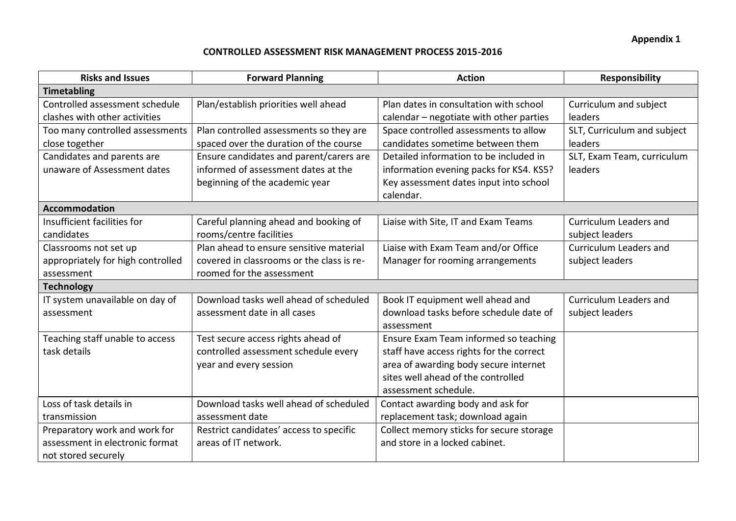## **CONTROLLED ASSESSMENT RISK MANAGEMENT PROCESS 2015-2016**

| <b>Risks and Issues</b>           | <b>Forward Planning</b>                   | <b>Action</b>                            | <b>Responsibility</b>       |  |
|-----------------------------------|-------------------------------------------|------------------------------------------|-----------------------------|--|
| <b>Timetabling</b>                |                                           |                                          |                             |  |
| Controlled assessment schedule    | Plan/establish priorities well ahead      | Plan dates in consultation with school   | Curriculum and subject      |  |
| clashes with other activities     |                                           | calendar - negotiate with other parties  | leaders                     |  |
| Too many controlled assessments   | Plan controlled assessments so they are   | Space controlled assessments to allow    | SLT, Curriculum and subject |  |
| close together                    | spaced over the duration of the course    | candidates sometime between them         | leaders                     |  |
| Candidates and parents are        | Ensure candidates and parent/carers are   | Detailed information to be included in   | SLT, Exam Team, curriculum  |  |
| unaware of Assessment dates       | informed of assessment dates at the       | information evening packs for KS4. KS5?  | leaders                     |  |
|                                   | beginning of the academic year            | Key assessment dates input into school   |                             |  |
|                                   |                                           | calendar.                                |                             |  |
| <b>Accommodation</b>              |                                           |                                          |                             |  |
| Insufficient facilities for       | Careful planning ahead and booking of     | Liaise with Site, IT and Exam Teams      | Curriculum Leaders and      |  |
| candidates                        | rooms/centre facilities                   |                                          | subject leaders             |  |
| Classrooms not set up             | Plan ahead to ensure sensitive material   | Liaise with Exam Team and/or Office      | Curriculum Leaders and      |  |
| appropriately for high controlled | covered in classrooms or the class is re- | Manager for rooming arrangements         | subject leaders             |  |
| assessment                        | roomed for the assessment                 |                                          |                             |  |
| <b>Technology</b>                 |                                           |                                          |                             |  |
| IT system unavailable on day of   | Download tasks well ahead of scheduled    | Book IT equipment well ahead and         | Curriculum Leaders and      |  |
| assessment                        | assessment date in all cases              | download tasks before schedule date of   | subject leaders             |  |
|                                   |                                           | assessment                               |                             |  |
| Teaching staff unable to access   | Test secure access rights ahead of        | Ensure Exam Team informed so teaching    |                             |  |
| task details                      | controlled assessment schedule every      | staff have access rights for the correct |                             |  |
|                                   | year and every session                    | area of awarding body secure internet    |                             |  |
|                                   |                                           | sites well ahead of the controlled       |                             |  |
|                                   |                                           | assessment schedule.                     |                             |  |
| Loss of task details in           | Download tasks well ahead of scheduled    | Contact awarding body and ask for        |                             |  |
| transmission                      | assessment date                           | replacement task; download again         |                             |  |
| Preparatory work and work for     | Restrict candidates' access to specific   | Collect memory sticks for secure storage |                             |  |
| assessment in electronic format   | areas of IT network.                      | and store in a locked cabinet.           |                             |  |
| not stored securely               |                                           |                                          |                             |  |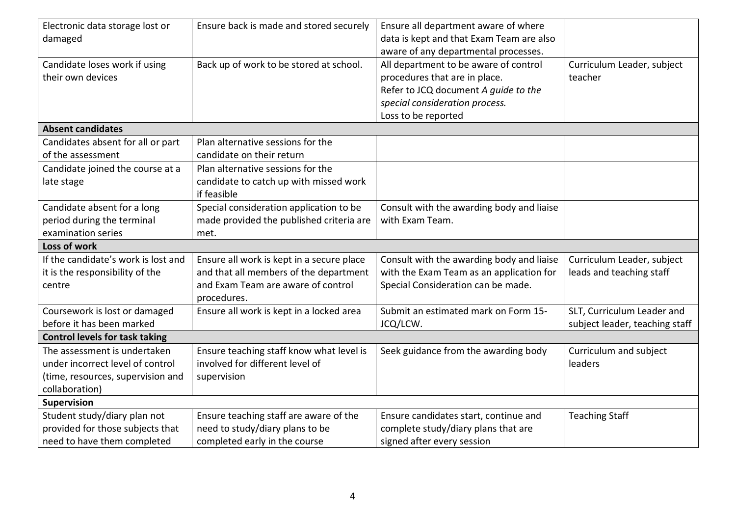| Electronic data storage lost or<br>damaged                                                                              | Ensure back is made and stored securely                                                                                                  | Ensure all department aware of where<br>data is kept and that Exam Team are also                                                                                                                                |                                                              |
|-------------------------------------------------------------------------------------------------------------------------|------------------------------------------------------------------------------------------------------------------------------------------|-----------------------------------------------------------------------------------------------------------------------------------------------------------------------------------------------------------------|--------------------------------------------------------------|
| Candidate loses work if using<br>their own devices                                                                      | Back up of work to be stored at school.                                                                                                  | aware of any departmental processes.<br>All department to be aware of control<br>procedures that are in place.<br>Refer to JCQ document A quide to the<br>special consideration process.<br>Loss to be reported | Curriculum Leader, subject<br>teacher                        |
| <b>Absent candidates</b>                                                                                                |                                                                                                                                          |                                                                                                                                                                                                                 |                                                              |
| Candidates absent for all or part<br>of the assessment                                                                  | Plan alternative sessions for the<br>candidate on their return                                                                           |                                                                                                                                                                                                                 |                                                              |
| Candidate joined the course at a<br>late stage                                                                          | Plan alternative sessions for the<br>candidate to catch up with missed work<br>if feasible                                               |                                                                                                                                                                                                                 |                                                              |
| Candidate absent for a long<br>period during the terminal<br>examination series                                         | Special consideration application to be<br>made provided the published criteria are<br>met.                                              | Consult with the awarding body and liaise<br>with Exam Team.                                                                                                                                                    |                                                              |
| Loss of work                                                                                                            |                                                                                                                                          |                                                                                                                                                                                                                 |                                                              |
| If the candidate's work is lost and<br>it is the responsibility of the<br>centre                                        | Ensure all work is kept in a secure place<br>and that all members of the department<br>and Exam Team are aware of control<br>procedures. | Consult with the awarding body and liaise<br>with the Exam Team as an application for<br>Special Consideration can be made.                                                                                     | Curriculum Leader, subject<br>leads and teaching staff       |
| Coursework is lost or damaged<br>before it has been marked                                                              | Ensure all work is kept in a locked area                                                                                                 | Submit an estimated mark on Form 15-<br>JCQ/LCW.                                                                                                                                                                | SLT, Curriculum Leader and<br>subject leader, teaching staff |
| <b>Control levels for task taking</b>                                                                                   |                                                                                                                                          |                                                                                                                                                                                                                 |                                                              |
| The assessment is undertaken<br>under incorrect level of control<br>(time, resources, supervision and<br>collaboration) | Ensure teaching staff know what level is<br>involved for different level of<br>supervision                                               | Seek guidance from the awarding body                                                                                                                                                                            | Curriculum and subject<br>leaders                            |
| <b>Supervision</b>                                                                                                      |                                                                                                                                          |                                                                                                                                                                                                                 |                                                              |
| Student study/diary plan not<br>provided for those subjects that<br>need to have them completed                         | Ensure teaching staff are aware of the<br>need to study/diary plans to be<br>completed early in the course                               | Ensure candidates start, continue and<br>complete study/diary plans that are<br>signed after every session                                                                                                      | <b>Teaching Staff</b>                                        |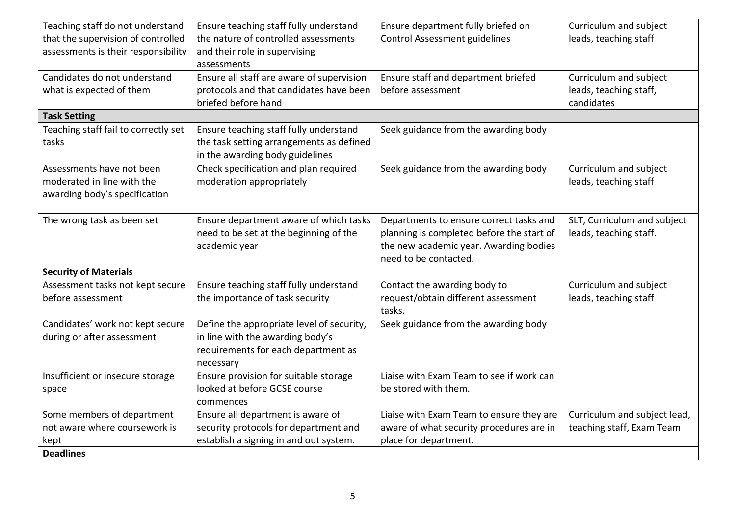| Teaching staff do not understand     | Ensure teaching staff fully understand    | Ensure department fully briefed on        | Curriculum and subject       |
|--------------------------------------|-------------------------------------------|-------------------------------------------|------------------------------|
| that the supervision of controlled   | the nature of controlled assessments      | <b>Control Assessment guidelines</b>      | leads, teaching staff        |
| assessments is their responsibility  | and their role in supervising             |                                           |                              |
|                                      | assessments                               |                                           |                              |
| Candidates do not understand         | Ensure all staff are aware of supervision | Ensure staff and department briefed       | Curriculum and subject       |
| what is expected of them             | protocols and that candidates have been   | before assessment                         | leads, teaching staff,       |
|                                      | briefed before hand                       |                                           | candidates                   |
| <b>Task Setting</b>                  |                                           |                                           |                              |
| Teaching staff fail to correctly set | Ensure teaching staff fully understand    | Seek guidance from the awarding body      |                              |
| tasks                                | the task setting arrangements as defined  |                                           |                              |
|                                      | in the awarding body guidelines           |                                           |                              |
| Assessments have not been            | Check specification and plan required     | Seek guidance from the awarding body      | Curriculum and subject       |
| moderated in line with the           | moderation appropriately                  |                                           | leads, teaching staff        |
| awarding body's specification        |                                           |                                           |                              |
|                                      |                                           |                                           |                              |
| The wrong task as been set           | Ensure department aware of which tasks    | Departments to ensure correct tasks and   | SLT, Curriculum and subject  |
|                                      | need to be set at the beginning of the    | planning is completed before the start of | leads, teaching staff.       |
|                                      | academic year                             | the new academic year. Awarding bodies    |                              |
|                                      |                                           | need to be contacted.                     |                              |
| <b>Security of Materials</b>         |                                           |                                           |                              |
| Assessment tasks not kept secure     | Ensure teaching staff fully understand    | Contact the awarding body to              | Curriculum and subject       |
| before assessment                    | the importance of task security           | request/obtain different assessment       | leads, teaching staff        |
|                                      |                                           | tasks.                                    |                              |
| Candidates' work not kept secure     | Define the appropriate level of security, | Seek guidance from the awarding body      |                              |
| during or after assessment           | in line with the awarding body's          |                                           |                              |
|                                      | requirements for each department as       |                                           |                              |
|                                      | necessary                                 |                                           |                              |
| Insufficient or insecure storage     | Ensure provision for suitable storage     | Liaise with Exam Team to see if work can  |                              |
| space                                | looked at before GCSE course              | be stored with them.                      |                              |
|                                      | commences                                 |                                           |                              |
| Some members of department           | Ensure all department is aware of         | Liaise with Exam Team to ensure they are  | Curriculum and subject lead, |
| not aware where coursework is        | security protocols for department and     | aware of what security procedures are in  | teaching staff, Exam Team    |
| kept                                 | establish a signing in and out system.    | place for department.                     |                              |
| <b>Deadlines</b>                     |                                           |                                           |                              |